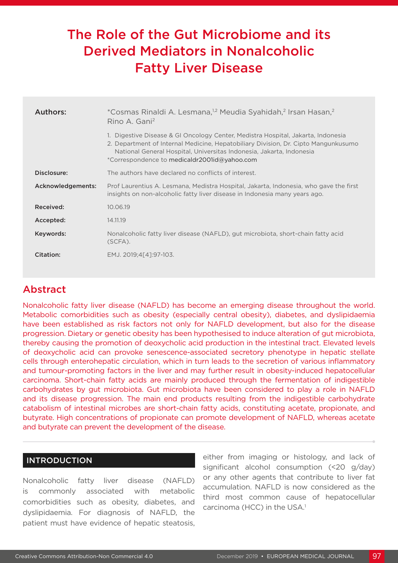# The Role of the Gut Microbiome and its Derived Mediators in Nonalcoholic Fatty Liver Disease

| Authors:          | *Cosmas Rinaldi A. Lesmana, <sup>1,2</sup> Meudia Syahidah, <sup>2</sup> Irsan Hasan, <sup>2</sup><br>Rino A. Gani <sup>2</sup>                                                                                                                                                                |
|-------------------|------------------------------------------------------------------------------------------------------------------------------------------------------------------------------------------------------------------------------------------------------------------------------------------------|
|                   | 1. Digestive Disease & GI Oncology Center, Medistra Hospital, Jakarta, Indonesia<br>2. Department of Internal Medicine, Hepatobiliary Division, Dr. Cipto Mangunkusumo<br>National General Hospital, Universitas Indonesia, Jakarta, Indonesia<br>*Correspondence to medicaldr2001id@yahoo.com |
| Disclosure:       | The authors have declared no conflicts of interest.                                                                                                                                                                                                                                            |
| Acknowledgements: | Prof Laurentius A. Lesmana, Medistra Hospital, Jakarta, Indonesia, who gave the first<br>insights on non-alcoholic fatty liver disease in Indonesia many years ago.                                                                                                                            |
| Received:         | 10.06.19                                                                                                                                                                                                                                                                                       |
| Accepted:         | 14.11.19                                                                                                                                                                                                                                                                                       |
| Keywords:         | Nonalcoholic fatty liver disease (NAFLD), gut microbiota, short-chain fatty acid<br>(SCFA).                                                                                                                                                                                                    |
| Citation:         | EMJ. 2019;4[4]:97-103.                                                                                                                                                                                                                                                                         |

# Abstract

Nonalcoholic fatty liver disease (NAFLD) has become an emerging disease throughout the world. Metabolic comorbidities such as obesity (especially central obesity), diabetes, and dyslipidaemia have been established as risk factors not only for NAFLD development, but also for the disease progression. Dietary or genetic obesity has been hypothesised to induce alteration of gut microbiota, thereby causing the promotion of deoxycholic acid production in the intestinal tract. Elevated levels of deoxycholic acid can provoke senescence-associated secretory phenotype in hepatic stellate cells through enterohepatic circulation, which in turn leads to the secretion of various inflammatory and tumour-promoting factors in the liver and may further result in obesity-induced hepatocellular carcinoma. Short-chain fatty acids are mainly produced through the fermentation of indigestible carbohydrates by gut microbiota. Gut microbiota have been considered to play a role in NAFLD and its disease progression. The main end products resulting from the indigestible carbohydrate catabolism of intestinal microbes are short-chain fatty acids, constituting acetate, propionate, and butyrate. High concentrations of propionate can promote development of NAFLD, whereas acetate and butyrate can prevent the development of the disease.

#### INTRODUCTION

Nonalcoholic fatty liver disease (NAFLD) is commonly associated with metabolic comorbidities such as obesity, diabetes, and dyslipidaemia. For diagnosis of NAFLD, the patient must have evidence of hepatic steatosis, either from imaging or histology, and lack of significant alcohol consumption (<20 g/day) or any other agents that contribute to liver fat accumulation. NAFLD is now considered as the third most common cause of hepatocellular carcinoma (HCC) in the USA.<sup>1</sup>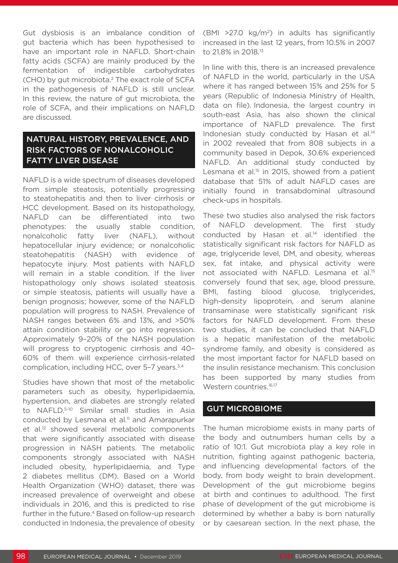Gut dysbiosis is an imbalance condition of gut bacteria which has been hypothesised to have an important role in NAFLD. Short-chain fatty acids (SCFA) are mainly produced by the fermentation of indigestible carbohydrates (CHO) by gut microbiota.2 The exact role of SCFA in the pathogenesis of NAFLD is still unclear. In this review, the nature of gut microbiota, the role of SCFA, and their implications on NAFLD are discussed.

### NATURAL HISTORY, PREVALENCE, AND RISK FACTORS OF NONALCOHOLIC FATTY LIVER DISEASE

NAFLD is a wide spectrum of diseases developed from simple steatosis, potentially progressing to steatohepatitis and then to liver cirrhosis or HCC development. Based on its histopathology, NAFLD can be differentiated into two phenotypes: the usually stable condition, nonalcoholic fatty liver (NAFL), without hepatocellular injury evidence; or nonalcoholic steatohepatitis (NASH) with evidence of hepatocyte injury. Most patients with NAFLD will remain in a stable condition. If the liver histopathology only shows isolated steatosis or simple steatosis, patients will usually have a benign prognosis; however, some of the NAFLD population will progress to NASH. Prevalence of NASH ranges between 6% and 13%, and >50% attain condition stability or go into regression. Approximately 9–20% of the NASH population will progress to cryptogenic cirrhosis and 40– 60% of them will experience cirrhosis-related complication, including HCC, over 5-7 years.<sup>3,4</sup>

Studies have shown that most of the metabolic parameters such as obesity, hyperlipidaemia, hypertension, and diabetes are strongly related to NAFLD.5-10 Similar small studies in Asia conducted by Lesmana et al.<sup>11</sup> and Amarapurkar et al.<sup>12</sup> showed several metabolic components that were significantly associated with disease progression in NASH patients. The metabolic components strongly associated with NASH included obesity, hyperlipidaemia, and Type 2 diabetes mellitus (DM). Based on a World Health Organization (WHO) dataset, there was increased prevalence of overweight and obese individuals in 2016, and this is predicted to rise further in the future.<sup>4</sup> Based on follow-up research conducted in Indonesia, the prevalence of obesity

(BMI  $>27.0 \text{ kg/m}^2$ ) in adults has significantly increased in the last 12 years, from 10.5% in 2007 to 21.8% in 2018.13

In line with this, there is an increased prevalence of NAFLD in the world, particularly in the USA where it has ranged between 15% and 25% for 5 years (Republic of Indonesia Ministry of Health, data on file). Indonesia, the largest country in south-east Asia, has also shown the clinical importance of NAFLD prevalence. The first Indonesian study conducted by Hasan et al.<sup>14</sup> in 2002 revealed that from 808 subjects in a community based in Depok, 30.6% experienced NAFLD. An additional study conducted by Lesmana et al.<sup>15</sup> in 2015, showed from a patient database that 51% of adult NAFLD cases are initially found in transabdominal ultrasound check-ups in hospitals.

These two studies also analysed the risk factors of NAFLD development. The first study conducted by Hasan et al.14 identified the statistically significant risk factors for NAFLD as age, triglyceride level, DM, and obesity, whereas sex, fat intake, and physical activity were not associated with NAFLD. Lesmana et al.15 conversely found that sex, age, blood pressure, BMI, fasting blood glucose, triglycerides, high-density lipoprotein, and serum alanine transaminase were statistically significant risk factors for NAFLD development. From these two studies, it can be concluded that NAFLD is a hepatic manifestation of the metabolic syndrome family, and obesity is considered as the most important factor for NAFLD based on the insulin resistance mechanism. This conclusion has been supported by many studies from Western countries.<sup>16,17</sup>

#### GUT MICROBIOME

The human microbiome exists in many parts of the body and outnumbers human cells by a ratio of 10:1. Gut microbiota play a key role in nutrition, fighting against pathogenic bacteria, and influencing developmental factors of the body, from body weight to brain development. Development of the gut microbiome begins at birth and continues to adulthood. The first phase of development of the gut microbiome is determined by whether a baby is born naturally or by caesarean section. In the next phase, the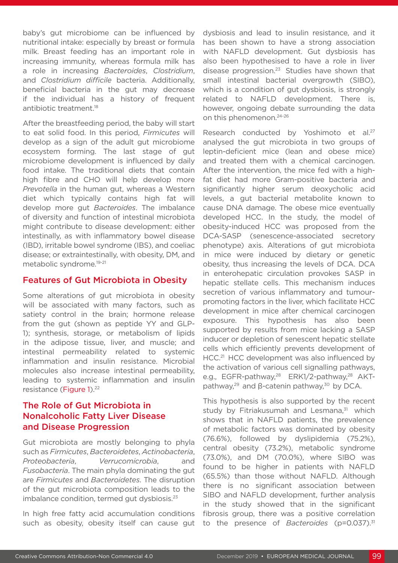baby's gut microbiome can be influenced by nutritional intake: especially by breast or formula milk. Breast feeding has an important role in increasing immunity, whereas formula milk has a role in increasing *Bacteroides*, *Clostridium*, and *Clostridium difficile* bacteria. Additionally, beneficial bacteria in the gut may decrease if the individual has a history of frequent antibiotic treatment.<sup>18</sup>

After the breastfeeding period, the baby will start to eat solid food. In this period, *Firmicutes* will develop as a sign of the adult gut microbiome ecosystem forming. The last stage of gut microbiome development is influenced by daily food intake. The traditional diets that contain high fibre and CHO will help develop more *Prevotella* in the human gut, whereas a Western diet which typically contains high fat will develop more gut *Bacteroides*. The imbalance of diversity and function of intestinal microbiota might contribute to disease development: either intestinally, as with inflammatory bowel disease (IBD), irritable bowel syndrome (IBS), and coeliac disease; or extraintestinally, with obesity, DM, and metabolic syndrome.19-21

#### Features of Gut Microbiota in Obesity

Some alterations of gut microbiota in obesity will be associated with many factors, such as satiety control in the brain; hormone release from the gut (shown as peptide YY and GLP-1); synthesis, storage, or metabolism of lipids in the adipose tissue, liver, and muscle; and intestinal permeability related to systemic inflammation and insulin resistance. Microbial molecules also increase intestinal permeability, leading to systemic inflammation and insulin resistance (Figure 1).<sup>22</sup>

# The Role of Gut Microbiota in Nonalcoholic Fatty Liver Disease and Disease Progression

Gut microbiota are mostly belonging to phyla such as *Firmicutes*, *Bacteroidetes*, *Actinobacteria*, *Proteobacteria*, *Verrucomicrobia*, and *Fusobacteria*. The main phyla dominating the gut are *Firmicutes* and *Bacteroidetes*. The disruption of the gut microbiota composition leads to the imbalance condition, termed gut dysbiosis.<sup>23</sup>

In high free fatty acid accumulation conditions such as obesity, obesity itself can cause gut dysbiosis and lead to insulin resistance, and it has been shown to have a strong association with NAFLD development. Gut dysbiosis has also been hypothesised to have a role in liver disease progression.23 Studies have shown that small intestinal bacterial overgrowth (SIBO), which is a condition of gut dysbiosis, is strongly related to NAFLD development. There is, however, ongoing debate surrounding the data on this phenomenon.<sup>24-26</sup>

Research conducted by Yoshimoto et al.<sup>27</sup> analysed the gut microbiota in two groups of leptin-deficient mice (lean and obese mice) and treated them with a chemical carcinogen. After the intervention, the mice fed with a highfat diet had more Gram-positive bacteria and significantly higher serum deoxycholic acid levels, a gut bacterial metabolite known to cause DNA damage. The obese mice eventually developed HCC. In the study, the model of obesity-induced HCC was proposed from the DCA-SASP (senescence-associated secretory phenotype) axis. Alterations of gut microbiota in mice were induced by dietary or genetic obesity, thus increasing the levels of DCA. DCA in enterohepatic circulation provokes SASP in hepatic stellate cells. This mechanism induces secretion of various inflammatory and tumourpromoting factors in the liver, which facilitate HCC development in mice after chemical carcinogen exposure. This hypothesis has also been supported by results from mice lacking a SASP inducer or depletion of senescent hepatic stellate cells which efficiently prevents development of HCC.<sup>21</sup> HCC development was also influenced by the activation of various cell signalling pathways, e.g., EGFR-pathway,<sup>28</sup> ERK1/2-pathway,<sup>28</sup> AKTpathway,<sup>29</sup> and  $\beta$ -catenin pathway,<sup>30</sup> by DCA.

This hypothesis is also supported by the recent study by Fitriakusumah and Lesmana, $31$  which shows that in NAFLD patients, the prevalence of metabolic factors was dominated by obesity (76.6%), followed by dyslipidemia (75.2%), central obesity (73.2%), metabolic syndrome (73.0%), and DM (70.0%), where SIBO was found to be higher in patients with NAFLD (65.5%) than those without NAFLD. Although there is no significant association between SIBO and NAFLD development, further analysis in the study showed that in the significant fibrosis group, there was a positive correlation to the presence of *Bacteroides* (p=0.037).<sup>31</sup>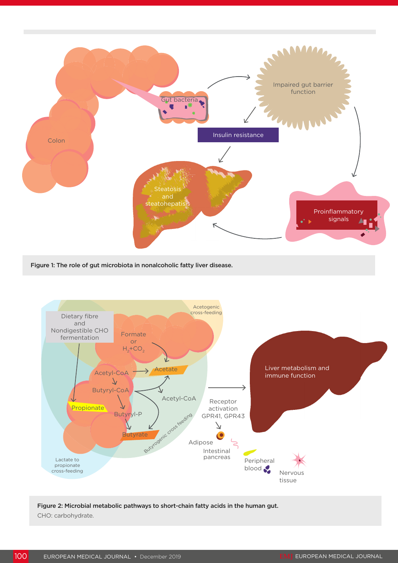

Figure 1: The role of gut microbiota in nonalcoholic fatty liver disease.



Figure 2: Microbial metabolic pathways to short-chain fatty acids in the human gut. CHO: carbohydrate.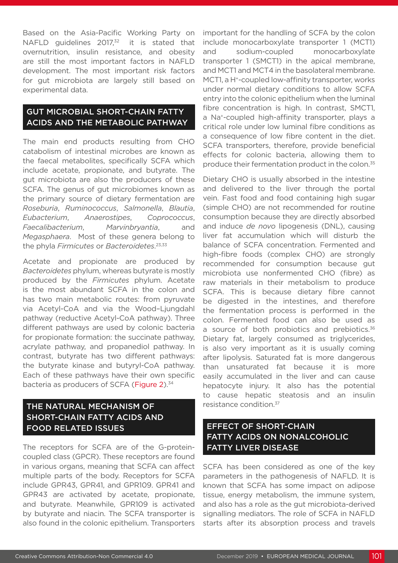Based on the Asia-Pacific Working Party on NAFLD guidelines 2017,<sup>32</sup> it is stated that overnutrition, insulin resistance, and obesity are still the most important factors in NAFLD development. The most important risk factors for gut microbiota are largely still based on experimental data.

### GUT MICROBIAL SHORT-CHAIN FATTY ACIDS AND THE METABOLIC PATHWAY

The main end products resulting from CHO catabolism of intestinal microbes are known as the faecal metabolites, specifically SCFA which include acetate, propionate, and butyrate. The gut microbiota are also the producers of these SCFA. The genus of gut microbiomes known as the primary source of dietary fermentation are *Roseburia*, *Ruminococcus*, *Salmonella*, *Blautia*, *Eubacterium*, *Anaerostipes*, *Coprococcus*, *Faecalibacterium*, *Marvinbryantia*, and *Megasphaera*. Most of these genera belong to the phyla *Firmicutes* or *Bacteroidetes*. 23,33

Acetate and propionate are produced by *Bacteroidetes* phylum, whereas butyrate is mostly produced by the *Firmicutes* phylum. Acetate is the most abundant SCFA in the colon and has two main metabolic routes: from pyruvate via Acetyl-CoA and via the Wood–Ljungdahl pathway (reductive Acetyl-CoA pathway). Three different pathways are used by colonic bacteria for propionate formation: the succinate pathway, acrylate pathway, and propanediol pathway. In contrast, butyrate has two different pathways: the butyrate kinase and butyryl-CoA pathway. Each of these pathways have their own specific bacteria as producers of SCFA (Figure 2).<sup>34</sup>

# THE NATURAL MECHANISM OF SHORT-CHAIN FATTY ACIDS AND FOOD RELATED ISSUES

The receptors for SCFA are of the G-proteincoupled class (GPCR). These receptors are found in various organs, meaning that SCFA can affect multiple parts of the body. Receptors for SCFA include GPR43, GPR41, and GPR109. GPR41 and GPR43 are activated by acetate, propionate, and butyrate. Meanwhile, GPR109 is activated by butyrate and niacin. The SCFA transporter is also found in the colonic epithelium. Transporters

important for the handling of SCFA by the colon include monocarboxylate transporter 1 (MCT1) and sodium-coupled monocarboxylate transporter 1 (SMCT1) in the apical membrane, and MCT1 and MCT4 in the basolateral membrane. MCT1, a H<sup>+</sup>-coupled low-affinity transporter, works under normal dietary conditions to allow SCFA entry into the colonic epithelium when the luminal fibre concentration is high. In contrast, SMCT1, a Na+-coupled high-affinity transporter, plays a critical role under low luminal fibre conditions as a consequence of low fibre content in the diet. SCFA transporters, therefore, provide beneficial effects for colonic bacteria, allowing them to produce their fermentation product in the colon.<sup>35</sup>

Dietary CHO is usually absorbed in the intestine and delivered to the liver through the portal vein. Fast food and food containing high sugar (simple CHO) are not recommended for routine consumption because they are directly absorbed and induce *de novo* lipogenesis (DNL), causing liver fat accumulation which will disturb the balance of SCFA concentration. Fermented and high-fibre foods (complex CHO) are strongly recommended for consumption because gut microbiota use nonfermented CHO (fibre) as raw materials in their metabolism to produce SCFA. This is because dietary fibre cannot be digested in the intestines, and therefore the fermentation process is performed in the colon. Fermented food can also be used as a source of both probiotics and prebiotics.<sup>36</sup> Dietary fat, largely consumed as triglycerides, is also very important as it is usually coming after lipolysis. Saturated fat is more dangerous than unsaturated fat because it is more easily accumulated in the liver and can cause hepatocyte injury. It also has the potential to cause hepatic steatosis and an insulin resistance condition.<sup>37</sup>

#### EFFECT OF SHORT-CHAIN FATTY ACIDS ON NONALCOHOLIC FATTY LIVER DISEASE

SCFA has been considered as one of the key parameters in the pathogenesis of NAFLD. It is known that SCFA has some impact on adipose tissue, energy metabolism, the immune system, and also has a role as the gut microbiota-derived signalling mediators. The role of SCFA in NAFLD starts after its absorption process and travels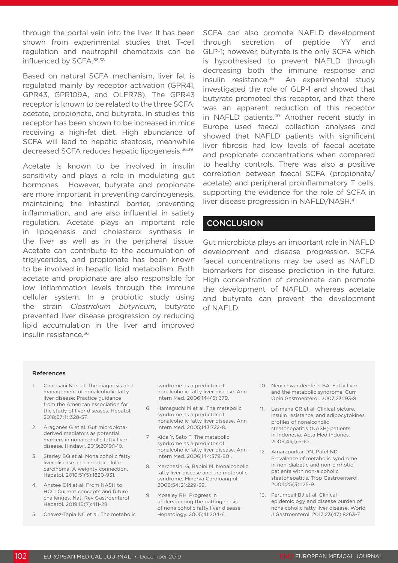through the portal vein into the liver. It has been shown from experimental studies that T-cell regulation and neutrophil chemotaxis can be influenced by SCFA.<sup>36,38</sup>

Based on natural SCFA mechanism, liver fat is regulated mainly by receptor activation (GPR41, GPR43, GPR109A, and OLFR78). The GPR43 receptor is known to be related to the three SCFA: acetate, propionate, and butyrate. In studies this receptor has been shown to be increased in mice receiving a high-fat diet. High abundance of SCFA will lead to hepatic steatosis, meanwhile decreased SCFA reduces hepatic lipogenesis.<sup>36,39</sup>

Acetate is known to be involved in insulin sensitivity and plays a role in modulating gut hormones. However, butyrate and propionate are more important in preventing carcinogenesis, maintaining the intestinal barrier, preventing inflammation, and are also influential in satiety regulation. Acetate plays an important role in lipogenesis and cholesterol synthesis in the liver as well as in the peripheral tissue. Acetate can contribute to the accumulation of triglycerides, and propionate has been known to be involved in hepatic lipid metabolism. Both acetate and propionate are also responsible for low inflammation levels through the immune cellular system. In a probiotic study using the strain *Clostridium butyricum*, butyrate prevented liver disease progression by reducing lipid accumulation in the liver and improved insulin resistance.36

SCFA can also promote NAFLD development through secretion of peptide YY and GLP-1; however, butyrate is the only SCFA which is hypothesised to prevent NAFLD through decreasing both the immune response and insulin resistance.<sup>36</sup> An experimental study investigated the role of GLP-1 and showed that butyrate promoted this receptor, and that there was an apparent reduction of this receptor in NAFLD patients.<sup>40</sup> Another recent study in Europe used faecal collection analyses and showed that NAFLD patients with significant liver fibrosis had low levels of faecal acetate and propionate concentrations when compared to healthy controls. There was also a positive correlation between faecal SCFA (propionate/ acetate) and peripheral proinflammatory T cells, supporting the evidence for the role of SCFA in liver disease progression in NAFLD/NASH.41

#### **CONCLUSION**

Gut microbiota plays an important role in NAFLD development and disease progression. SCFA faecal concentrations may be used as NAFLD biomarkers for disease prediction in the future. High concentration of propionate can promote the development of NAFLD, whereas acetate and butyrate can prevent the development of NAFLD.

#### References

- 1. Chalasani N et al. The diagnosis and management of nonalcoholic fatty liver disease: Practice guidance from the American association for the study of liver diseases. Hepatol. 2018;67(1):328-57.
- 2. Aragonès G et al. Gut microbiotaderived mediators as potential markers in nonalcoholic fatty liver disease. Hindawi. 2019;2019:1-10.
- 3. Starley BQ et al. Nonalcoholic fatty liver disease and hepatocellular carcinoma: A weighty connection. Hepatol. 2010;51(5):1820-931.
- 4. Anstee QM et al. From NASH to HCC: Current concepts and future challenges. Nat. Rev Gastroenterol Hepatol. 2019;16(7):411-28.
- 5. Chavez-Tapia NC et al. The metabolic

syndrome as a predictor of nonalcoholic fatty liver disease. Ann Intern Med. 2006;144(5):379.

- 6. Hamaguchi M et al. The metabolic syndrome as a predictor of nonalcoholic fatty liver disease. Ann Intern Med. 2005;143:722-8.
- 7. Kida Y, Sato T. The metabolic syndrome as a predictor of nonalcoholic fatty liver disease. Ann Intern Med. 2006;144:379-80 .
- 8. Marchesini G, Babini M. Nonalcoholic fatty liver disease and the metabolic syndrome. Minerva Cardioangiol. 2006;54(2):229-39.
- 9. Moseley RH. Progress in understanding the pathogenesis of nonalcoholic fatty liver disease. Hepatology. 2005;41:204-6.
- 10. Neuschwander-Tetri BA. Fatty liver and the metabolic syndrome. Curr Opin Gastroenterol. 2007;23:193-8.
- 11. Lesmana CR et al. Clinical picture, insulin resistance, and adipocytokines profiles of nonalcoholic steatohepatitis (NASH) patients in Indonesia. Acta Med Indones. 2009;41(1):6-10.
- 12. Amarapurkar DN, Patel ND. Prevalence of metabolic syndrome in non-diabetic and non-cirrhotic patients with non-alcoholic steatohepatitis. Trop Gastroenterol. 2004;25(3):125-9.
- 13. Perumpail BJ et al. Clinical epidemiology and disease burden of nonalcoholic fatty liver disease. World J Gastroenterol. 2017;23(47):8263-7